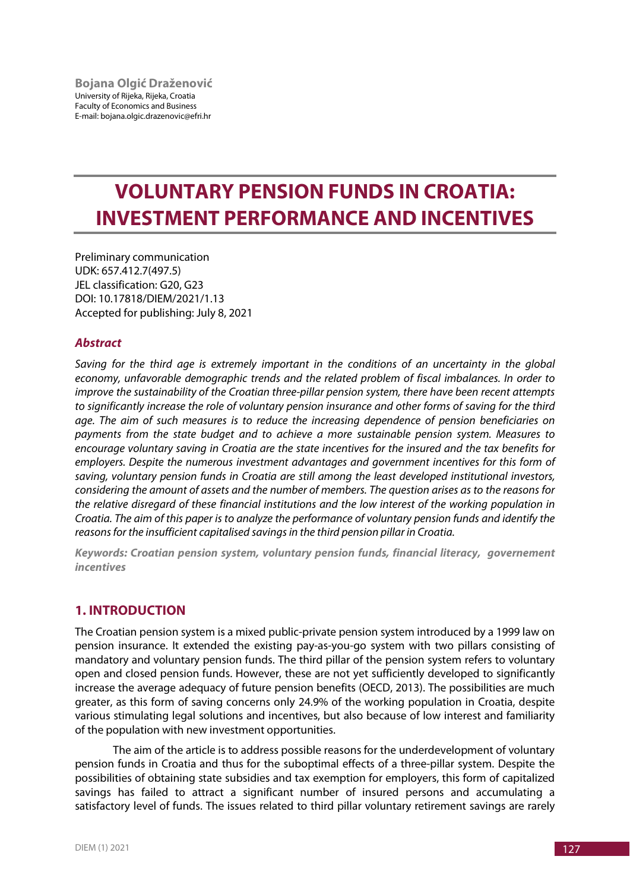# **VOLUNTARY PENSION FUNDS IN CROATIA: INVESTMENT PERFORMANCE AND INCENTIVES**

Preliminary communication UDK: 657.412.7(497.5) JEL classification: G20, G23 DOI: 10.17818/DIEM/2021/1.13 Accepted for publishing: July 8, 2021

## *Abstract*

*Saving for the third age is extremely important in the conditions of an uncertainty in the global economy, unfavorable demographic trends and the related problem of fiscal imbalances. In order to improve the sustainability of the Croatian three-pillar pension system, there have been recent attempts to significantly increase the role of voluntary pension insurance and other forms of saving for the third age. The aim of such measures is to reduce the increasing dependence of pension beneficiaries on payments from the state budget and to achieve a more sustainable pension system. Measures to encourage voluntary saving in Croatia are the state incentives for the insured and the tax benefits for employers. Despite the numerous investment advantages and government incentives for this form of saving, voluntary pension funds in Croatia are still among the least developed institutional investors, considering the amount of assets and the number of members. The question arises as to the reasons for the relative disregard of these financial institutions and the low interest of the working population in Croatia. The aim of this paper is to analyze the performance of voluntary pension funds and identify the reasons for the insufficient capitalised savings in the third pension pillar in Croatia.*

*Keywords: Croatian pension system, voluntary pension funds, financial literacy, governement incentives*

# **1. INTRODUCTION**

The Croatian pension system is a mixed public-private pension system introduced by a 1999 law on pension insurance. It extended the existing pay-as-you-go system with two pillars consisting of mandatory and voluntary pension funds. The third pillar of the pension system refers to voluntary open and closed pension funds. However, these are not yet sufficiently developed to significantly increase the average adequacy of future pension benefits (OECD, 2013). The possibilities are much greater, as this form of saving concerns only 24.9% of the working population in Croatia, despite various stimulating legal solutions and incentives, but also because of low interest and familiarity of the population with new investment opportunities.

The aim of the article is to address possible reasons for the underdevelopment of voluntary pension funds in Croatia and thus for the suboptimal effects of a three-pillar system. Despite the possibilities of obtaining state subsidies and tax exemption for employers, this form of capitalized savings has failed to attract a significant number of insured persons and accumulating a satisfactory level of funds. The issues related to third pillar voluntary retirement savings are rarely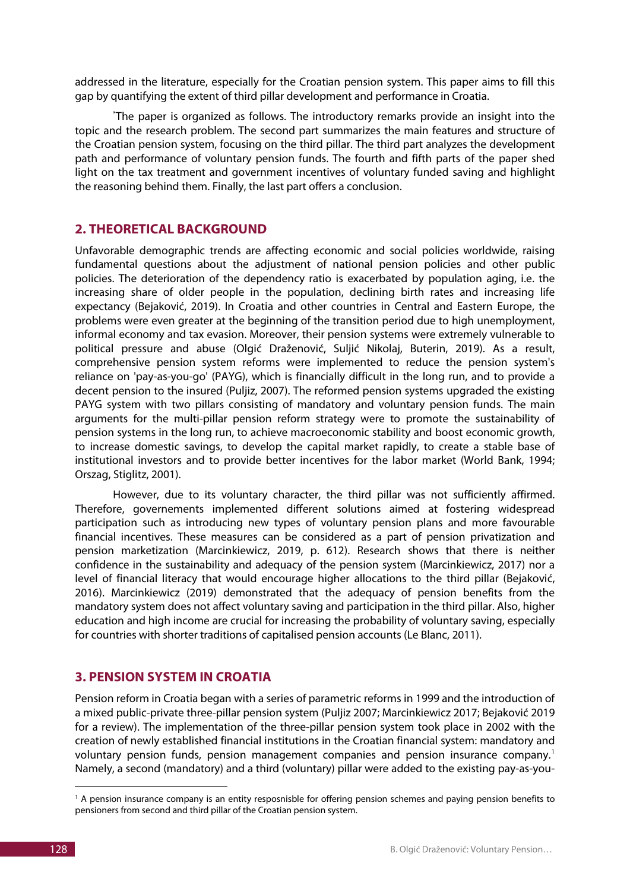addressed in the literature, especially for the Croatian pension system. This paper aims to fill this gap by quantifying the extent of third pillar development and performance in Croatia.

\* The paper is organized as follows. The introductory remarks provide an insight into the topic and the research problem. The second part summarizes the main features and structure of the Croatian pension system, focusing on the third pillar. The third part analyzes the development path and performance of voluntary pension funds. The fourth and fifth parts of the paper shed light on the tax treatment and government incentives of voluntary funded saving and highlight the reasoning behind them. Finally, the last part offers a conclusion.

# **2. THEORETICAL BACKGROUND**

Unfavorable demographic trends are affecting economic and social policies worldwide, raising fundamental questions about the adjustment of national pension policies and other public policies. The deterioration of the dependency ratio is exacerbated by population aging, i.e. the increasing share of older people in the population, declining birth rates and increasing life expectancy (Bejaković, 2019). In Croatia and other countries in Central and Eastern Europe, the problems were even greater at the beginning of the transition period due to high unemployment, informal economy and tax evasion. Moreover, their pension systems were extremely vulnerable to political pressure and abuse (Olgić Draženović, Suljić Nikolaj, Buterin, 2019). As a result, comprehensive pension system reforms were implemented to reduce the pension system's reliance on 'pay-as-you-go' (PAYG), which is financially difficult in the long run, and to provide a decent pension to the insured (Puljiz, 2007). The reformed pension systems upgraded the existing PAYG system with two pillars consisting of mandatory and voluntary pension funds. The main arguments for the multi-pillar pension reform strategy were to promote the sustainability of pension systems in the long run, to achieve macroeconomic stability and boost economic growth, to increase domestic savings, to develop the capital market rapidly, to create a stable base of institutional investors and to provide better incentives for the labor market (World Bank, 1994; Orszag, Stiglitz, 2001).

However, due to its voluntary character, the third pillar was not sufficiently affirmed. Therefore, governements implemented different solutions aimed at fostering widespread participation such as introducing new types of voluntary pension plans and more favourable financial incentives. These measures can be considered as a part of pension privatization and pension marketization (Marcinkiewicz, 2019, p. 612). Research shows that there is neither confidence in the sustainability and adequacy of the pension system (Marcinkiewicz, 2017) nor a level of financial literacy that would encourage higher allocations to the third pillar (Bejaković, 2016). Marcinkiewicz (2019) demonstrated that the adequacy of pension benefits from the mandatory system does not affect voluntary saving and participation in the third pillar. Also, higher education and high income are crucial for increasing the probability of voluntary saving, especially for countries with shorter traditions of capitalised pension accounts (Le Blanc, 2011).

# **3. PENSION SYSTEM IN CROATIA**

Pension reform in Croatia began with a series of parametric reforms in 1999 and the introduction of a mixed public-private three-pillar pension system (Puljiz 2007; Marcinkiewicz 2017; Bejaković 2019 for a review). The implementation of the three-pillar pension system took place in 2002 with the creation of newly established financial institutions in the Croatian financial system: mandatory and voluntary pension funds, pension management companies and pension insurance company. [1](#page-1-0) Namely, a second (mandatory) and a third (voluntary) pillar were added to the existing pay-as-you-

<u>.</u>

<span id="page-1-0"></span><sup>&</sup>lt;sup>1</sup> A pension insurance company is an entity resposnisble for offering pension schemes and paying pension benefits to pensioners from second and third pillar of the Croatian pension system.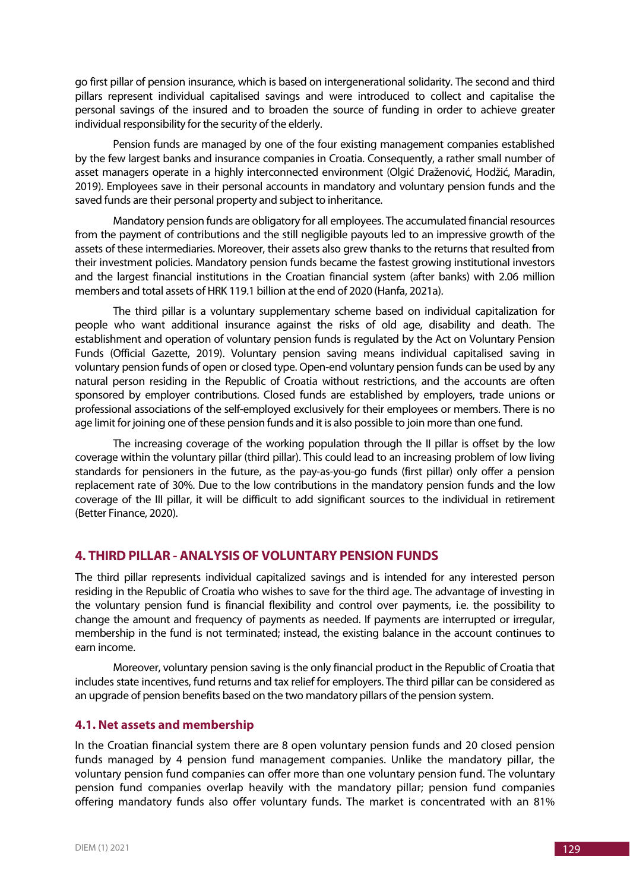go first pillar of pension insurance, which is based on intergenerational solidarity. The second and third pillars represent individual capitalised savings and were introduced to collect and capitalise the personal savings of the insured and to broaden the source of funding in order to achieve greater individual responsibility for the security of the elderly.

Pension funds are managed by one of the four existing management companies established by the few largest banks and insurance companies in Croatia. Consequently, a rather small number of asset managers operate in a highly interconnected environment (Olgić Draženović, Hodžić, Maradin, 2019). Employees save in their personal accounts in mandatory and voluntary pension funds and the saved funds are their personal property and subject to inheritance.

Mandatory pension funds are obligatory for all employees. The accumulated financial resources from the payment of contributions and the still negligible payouts led to an impressive growth of the assets of these intermediaries. Moreover, their assets also grew thanks to the returns that resulted from their investment policies. Mandatory pension funds became the fastest growing institutional investors and the largest financial institutions in the Croatian financial system (after banks) with 2.06 million members and total assets of HRK 119.1 billion at the end of 2020 (Hanfa, 2021a).

The third pillar is a voluntary supplementary scheme based on individual capitalization for people who want additional insurance against the risks of old age, disability and death. The establishment and operation of voluntary pension funds is regulated by the Act on Voluntary Pension Funds (Official Gazette, 2019). Voluntary pension saving means individual capitalised saving in voluntary pension funds of open or closed type. Open-end voluntary pension funds can be used by any natural person residing in the Republic of Croatia without restrictions, and the accounts are often sponsored by employer contributions. Closed funds are established by employers, trade unions or professional associations of the self-employed exclusively for their employees or members. There is no age limit for joining one of these pension funds and it is also possible to join more than one fund.

The increasing coverage of the working population through the II pillar is offset by the low coverage within the voluntary pillar (third pillar). This could lead to an increasing problem of low living standards for pensioners in the future, as the pay-as-you-go funds (first pillar) only offer a pension replacement rate of 30%. Due to the low contributions in the mandatory pension funds and the low coverage of the III pillar, it will be difficult to add significant sources to the individual in retirement (Better Finance, 2020).

## **4. THIRD PILLAR - ANALYSIS OF VOLUNTARY PENSION FUNDS**

The third pillar represents individual capitalized savings and is intended for any interested person residing in the Republic of Croatia who wishes to save for the third age. The advantage of investing in the voluntary pension fund is financial flexibility and control over payments, i.e. the possibility to change the amount and frequency of payments as needed. If payments are interrupted or irregular, membership in the fund is not terminated; instead, the existing balance in the account continues to earn income.

Moreover, voluntary pension saving is the only financial product in the Republic of Croatia that includes state incentives, fund returns and tax relief for employers. The third pillar can be considered as an upgrade of pension benefits based on the two mandatory pillars of the pension system.

## **4.1. Net assets and membership**

In the Croatian financial system there are 8 open voluntary pension funds and 20 closed pension funds managed by 4 pension fund management companies. Unlike the mandatory pillar, the voluntary pension fund companies can offer more than one voluntary pension fund. The voluntary pension fund companies overlap heavily with the mandatory pillar; pension fund companies offering mandatory funds also offer voluntary funds. The market is concentrated with an 81%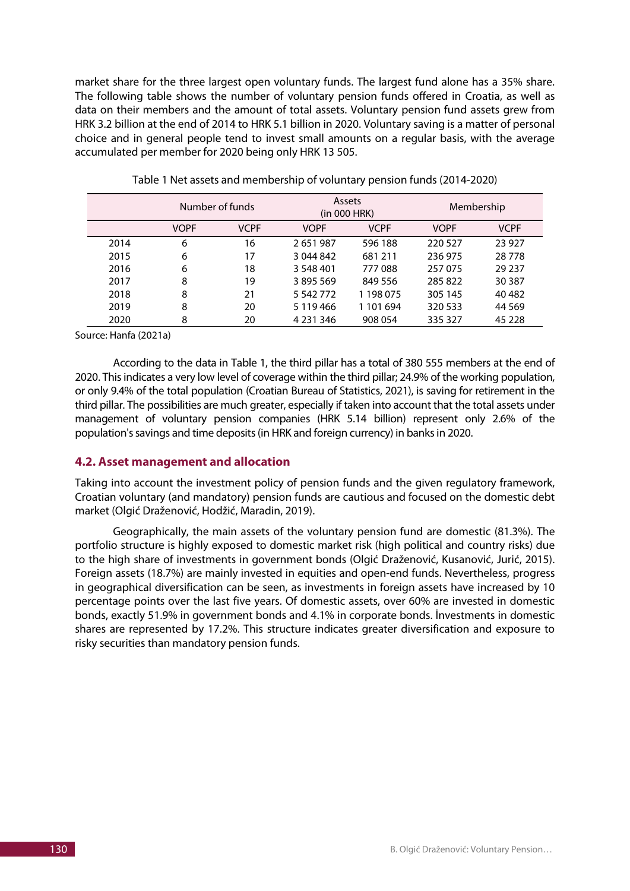market share for the three largest open voluntary funds. The largest fund alone has a 35% share. The following table shows the number of voluntary pension funds offered in Croatia, as well as data on their members and the amount of total assets. Voluntary pension fund assets grew from HRK 3.2 billion at the end of 2014 to HRK 5.1 billion in 2020. Voluntary saving is a matter of personal choice and in general people tend to invest small amounts on a regular basis, with the average accumulated per member for 2020 being only HRK 13 505.

|      | Number of funds |             | Assets<br>(in 000 HRK) |             | Membership  |             |
|------|-----------------|-------------|------------------------|-------------|-------------|-------------|
|      | <b>VOPF</b>     | <b>VCPF</b> | <b>VOPF</b>            | <b>VCPF</b> | <b>VOPF</b> | <b>VCPF</b> |
| 2014 | 6               | 16          | 2651987                | 596 188     | 220 527     | 23 9 27     |
| 2015 | 6               | 17          | 3 044 842              | 681 211     | 236 975     | 28778       |
| 2016 | 6               | 18          | 3 548 401              | 777088      | 257 075     | 29 2 3 7    |
| 2017 | 8               | 19          | 3895569                | 849 556     | 285 822     | 30 3 87     |
| 2018 | 8               | 21          | 5 542 772              | 1 198 075   | 305 145     | 40 4 82     |
| 2019 | 8               | 20          | 5 1 1 9 4 6 6          | 1 101 694   | 320 533     | 44 5 69     |
| 2020 | 8               | 20          | 4 2 3 1 3 4 6          | 908 054     | 335 327     | 45 2 28     |

| Table 1 Net assets and membership of voluntary pension funds (2014-2020) |  |  |
|--------------------------------------------------------------------------|--|--|
|--------------------------------------------------------------------------|--|--|

Source: Hanfa (2021a)

According to the data in Table 1, the third pillar has a total of 380 555 members at the end of 2020. This indicates a very low level of coverage within the third pillar; 24.9% of the working population, or only 9.4% of the total population (Croatian Bureau of Statistics, 2021), is saving for retirement in the third pillar. The possibilities are much greater, especially if taken into account that the total assets under management of voluntary pension companies (HRK 5.14 billion) represent only 2.6% of the population's savings and time deposits (in HRK and foreign currency) in banks in 2020.

## **4.2. Asset management and allocation**

Taking into account the investment policy of pension funds and the given regulatory framework, Croatian voluntary (and mandatory) pension funds are cautious and focused on the domestic debt market (Olgić Draženović, Hodžić, Maradin, 2019).

Geographically, the main assets of the voluntary pension fund are domestic (81.3%). The portfolio structure is highly exposed to domestic market risk (high political and country risks) due to the high share of investments in government bonds (Olgić Draženović, Kusanović, Jurić, 2015). Foreign assets (18.7%) are mainly invested in equities and open-end funds. Nevertheless, progress in geographical diversification can be seen, as investments in foreign assets have increased by 10 percentage points over the last five years. Of domestic assets, over 60% are invested in domestic bonds, exactly 51.9% in government bonds and 4.1% in corporate bonds. İnvestments in domestic shares are represented by 17.2%. This structure indicates greater diversification and exposure to risky securities than mandatory pension funds.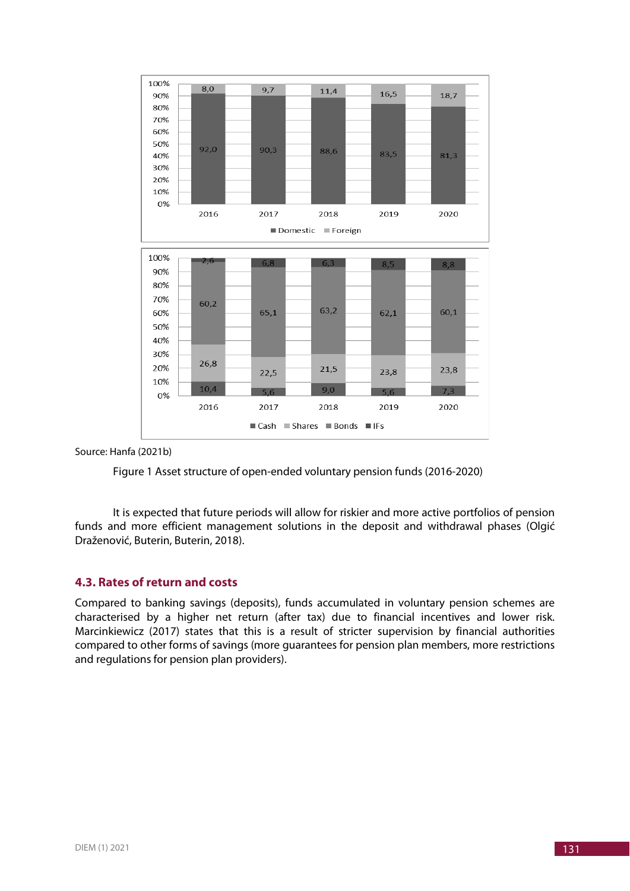

Source: Hanfa (2021b)



It is expected that future periods will allow for riskier and more active portfolios of pension funds and more efficient management solutions in the deposit and withdrawal phases (Olgić Draženović, Buterin, Buterin, 2018).

#### **4.3. Rates of return and costs**

Compared to banking savings (deposits), funds accumulated in voluntary pension schemes are characterised by a higher net return (after tax) due to financial incentives and lower risk. Marcinkiewicz (2017) states that this is a result of stricter supervision by financial authorities compared to other forms of savings (more guarantees for pension plan members, more restrictions and regulations for pension plan providers).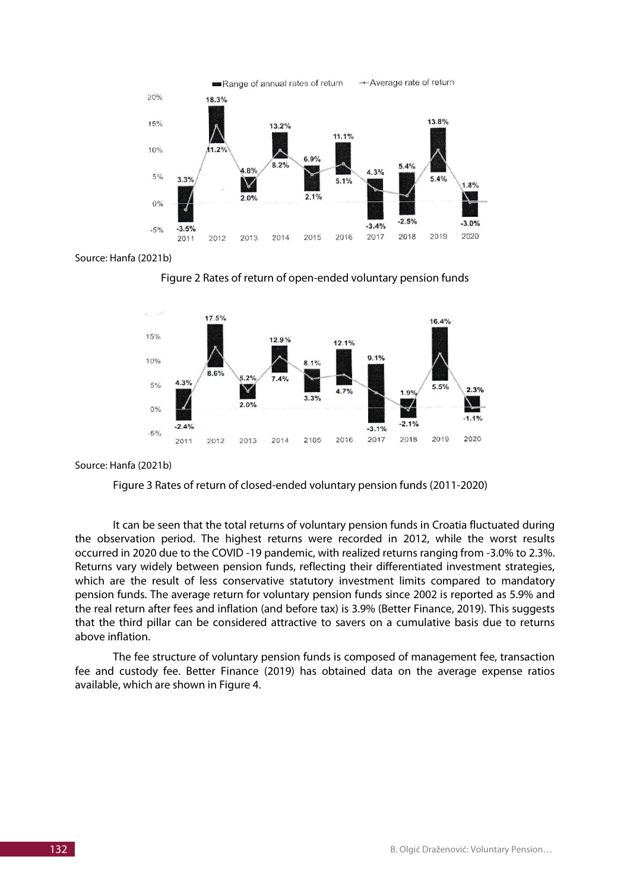

Source: Hanfa (2021b)





#### Source: Hanfa (2021b)



It can be seen that the total returns of voluntary pension funds in Croatia fluctuated during the observation period. The highest returns were recorded in 2012, while the worst results occurred in 2020 due to the COVID -19 pandemic, with realized returns ranging from -3.0% to 2.3%. Returns vary widely between pension funds, reflecting their differentiated investment strategies, which are the result of less conservative statutory investment limits compared to mandatory pension funds. The average return for voluntary pension funds since 2002 is reported as 5.9% and the real return after fees and inflation (and before tax) is 3.9% (Better Finance, 2019). This suggests that the third pillar can be considered attractive to savers on a cumulative basis due to returns above inflation.

The fee structure of voluntary pension funds is composed of management fee, transaction fee and custody fee. Better Finance (2019) has obtained data on the average expense ratios available, which are shown in Figure 4.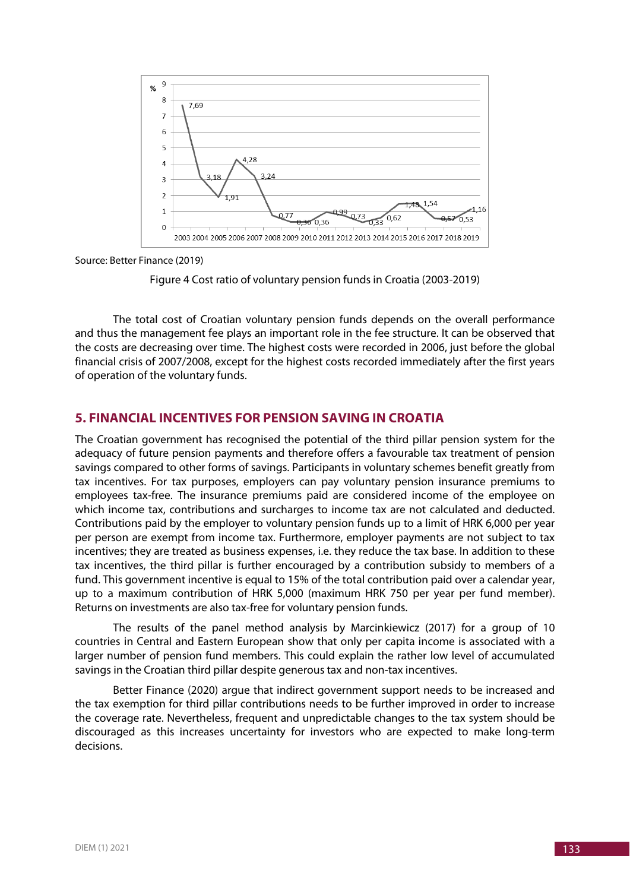

Source: Better Finance (2019)



The total cost of Croatian voluntary pension funds depends on the overall performance and thus the management fee plays an important role in the fee structure. It can be observed that the costs are decreasing over time. The highest costs were recorded in 2006, just before the global financial crisis of 2007/2008, except for the highest costs recorded immediately after the first years of operation of the voluntary funds.

# **5. FINANCIAL INCENTIVES FOR PENSION SAVING IN CROATIA**

The Croatian government has recognised the potential of the third pillar pension system for the adequacy of future pension payments and therefore offers a favourable tax treatment of pension savings compared to other forms of savings. Participants in voluntary schemes benefit greatly from tax incentives. For tax purposes, employers can pay voluntary pension insurance premiums to employees tax-free. The insurance premiums paid are considered income of the employee on which income tax, contributions and surcharges to income tax are not calculated and deducted. Contributions paid by the employer to voluntary pension funds up to a limit of HRK 6,000 per year per person are exempt from income tax. Furthermore, employer payments are not subject to tax incentives; they are treated as business expenses, i.e. they reduce the tax base. In addition to these tax incentives, the third pillar is further encouraged by a contribution subsidy to members of a fund. This government incentive is equal to 15% of the total contribution paid over a calendar year, up to a maximum contribution of HRK 5,000 (maximum HRK 750 per year per fund member). Returns on investments are also tax-free for voluntary pension funds.

The results of the panel method analysis by Marcinkiewicz (2017) for a group of 10 countries in Central and Eastern European show that only per capita income is associated with a larger number of pension fund members. This could explain the rather low level of accumulated savings in the Croatian third pillar despite generous tax and non-tax incentives.

Better Finance (2020) argue that indirect government support needs to be increased and the tax exemption for third pillar contributions needs to be further improved in order to increase the coverage rate. Nevertheless, frequent and unpredictable changes to the tax system should be discouraged as this increases uncertainty for investors who are expected to make long-term decisions.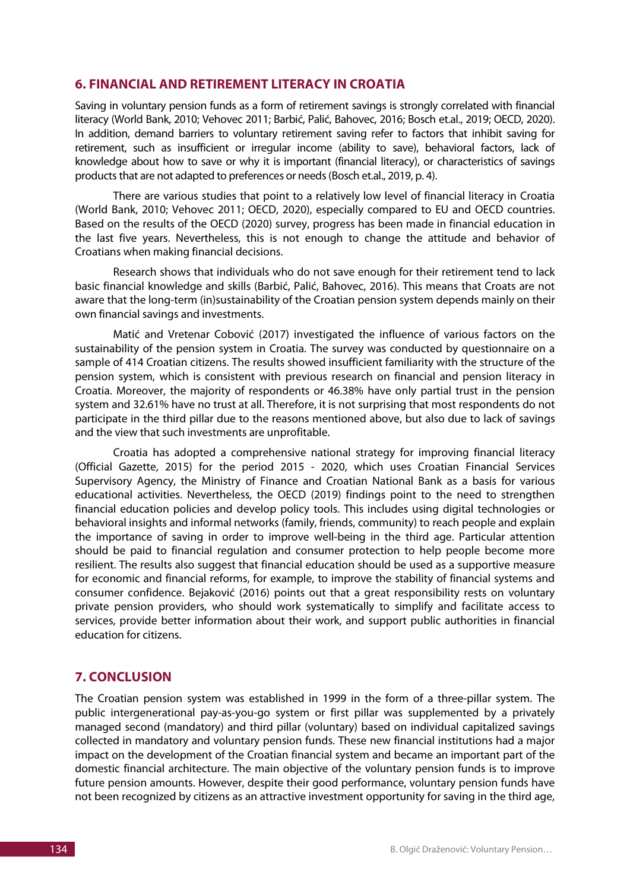### **6. FINANCIAL AND RETIREMENT LITERACY IN CROATIA**

Saving in voluntary pension funds as a form of retirement savings is strongly correlated with financial literacy (World Bank, 2010; Vehovec 2011; Barbić, Palić, Bahovec, 2016; Bosch et.al., 2019; OECD, 2020). In addition, demand barriers to voluntary retirement saving refer to factors that inhibit saving for retirement, such as insufficient or irregular income (ability to save), behavioral factors, lack of knowledge about how to save or why it is important (financial literacy), or characteristics of savings products that are not adapted to preferences or needs (Bosch et.al., 2019, p. 4).

There are various studies that point to a relatively low level of financial literacy in Croatia (World Bank, 2010; Vehovec 2011; OECD, 2020), especially compared to EU and OECD countries. Based on the results of the OECD (2020) survey, progress has been made in financial education in the last five years. Nevertheless, this is not enough to change the attitude and behavior of Croatians when making financial decisions.

Research shows that individuals who do not save enough for their retirement tend to lack basic financial knowledge and skills (Barbić, Palić, Bahovec, 2016). This means that Croats are not aware that the long-term (in)sustainability of the Croatian pension system depends mainly on their own financial savings and investments.

Matić and Vretenar Cobović (2017) investigated the influence of various factors on the sustainability of the pension system in Croatia. The survey was conducted by questionnaire on a sample of 414 Croatian citizens. The results showed insufficient familiarity with the structure of the pension system, which is consistent with previous research on financial and pension literacy in Croatia. Moreover, the majority of respondents or 46.38% have only partial trust in the pension system and 32.61% have no trust at all. Therefore, it is not surprising that most respondents do not participate in the third pillar due to the reasons mentioned above, but also due to lack of savings and the view that such investments are unprofitable.

Croatia has adopted a comprehensive national strategy for improving financial literacy (Official Gazette, 2015) for the period 2015 - 2020, which uses Croatian Financial Services Supervisory Agency, the Ministry of Finance and Croatian National Bank as a basis for various educational activities. Nevertheless, the OECD (2019) findings point to the need to strengthen financial education policies and develop policy tools. This includes using digital technologies or behavioral insights and informal networks (family, friends, community) to reach people and explain the importance of saving in order to improve well-being in the third age. Particular attention should be paid to financial regulation and consumer protection to help people become more resilient. The results also suggest that financial education should be used as a supportive measure for economic and financial reforms, for example, to improve the stability of financial systems and consumer confidence. Bejaković (2016) points out that a great responsibility rests on voluntary private pension providers, who should work systematically to simplify and facilitate access to services, provide better information about their work, and support public authorities in financial education for citizens.

# **7. CONCLUSION**

The Croatian pension system was established in 1999 in the form of a three-pillar system. The public intergenerational pay-as-you-go system or first pillar was supplemented by a privately managed second (mandatory) and third pillar (voluntary) based on individual capitalized savings collected in mandatory and voluntary pension funds. These new financial institutions had a major impact on the development of the Croatian financial system and became an important part of the domestic financial architecture. The main objective of the voluntary pension funds is to improve future pension amounts. However, despite their good performance, voluntary pension funds have not been recognized by citizens as an attractive investment opportunity for saving in the third age,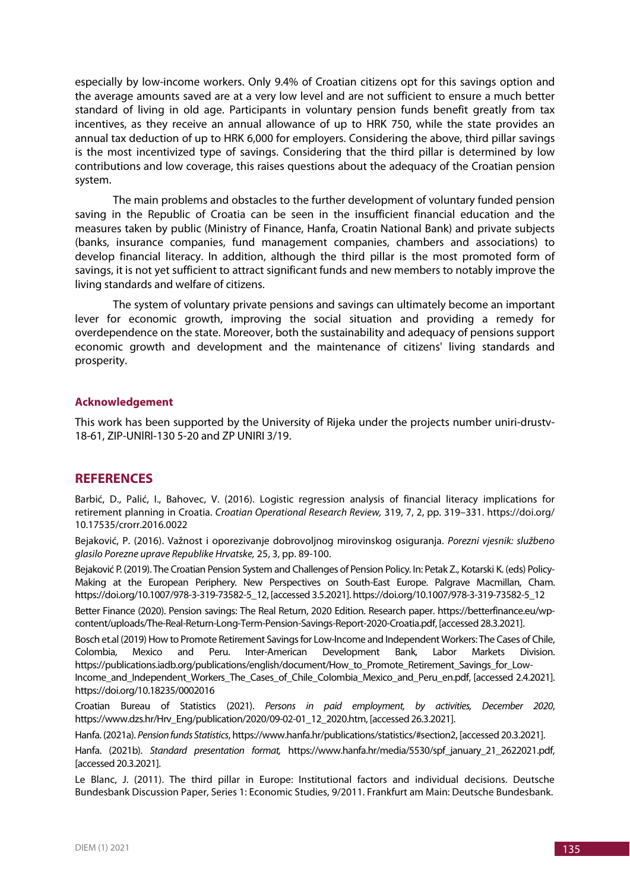especially by low-income workers. Only 9.4% of Croatian citizens opt for this savings option and the average amounts saved are at a very low level and are not sufficient to ensure a much better standard of living in old age. Participants in voluntary pension funds benefit greatly from tax incentives, as they receive an annual allowance of up to HRK 750, while the state provides an annual tax deduction of up to HRK 6,000 for employers. Considering the above, third pillar savings is the most incentivized type of savings. Considering that the third pillar is determined by low contributions and low coverage, this raises questions about the adequacy of the Croatian pension system.

The main problems and obstacles to the further development of voluntary funded pension saving in the Republic of Croatia can be seen in the insufficient financial education and the measures taken by public (Ministry of Finance, Hanfa, Croatin National Bank) and private subjects (banks, insurance companies, fund management companies, chambers and associations) to develop financial literacy. In addition, although the third pillar is the most promoted form of savings, it is not yet sufficient to attract significant funds and new members to notably improve the living standards and welfare of citizens.

The system of voluntary private pensions and savings can ultimately become an important lever for economic growth, improving the social situation and providing a remedy for overdependence on the state. Moreover, both the sustainability and adequacy of pensions support economic growth and development and the maintenance of citizens' living standards and prosperity.

#### **Acknowledgement**

This work has been supported by the University of Rijeka under the projects number uniri-drustv-18-61, ZIP-UNlRl-130 5-20 and ZP UNIRI 3/19.

## **REFERENCES**

Barbić, D., Palić, I., Bahovec, V. (2016). Logistic regression analysis of financial literacy implications for retirement planning in Croatia. *Croatian Operational Research Review,* 319, 7, 2, pp. 319–331. https://doi.org/ 10.17535/crorr.2016.0022

Bejaković, P. (2016). Važnost i oporezivanje dobrovoljnog mirovinskog osiguranja. *Porezni vjesnik: službeno glasilo Porezne uprave Republike Hrvatske,* 25, 3, pp. 89-100.

Bejaković P. (2019). The Croatian Pension System and Challenges of Pension Policy. In: Petak Z., Kotarski K. (eds) Policy-Making at the European Periphery. New Perspectives on South-East Europe. Palgrave Macmillan, Cham. https://doi.org/10.1007/978-3-319-73582-5\_12, [accessed 3.5.2021]. https://doi.org/10.1007/978-3-319-73582-5\_12

Better Finance (2020). Pension savings: The Real Return, 2020 Edition. Research paper. https://betterfinance.eu/wpcontent/uploads/The-Real-Return-Long-Term-Pension-Savings-Report-2020-Croatia.pdf, [accessed 28.3.2021].

Bosch et.al (2019) How to Promote Retirement Savings for Low-Income and Independent Workers: The Cases of Chile, Colombia, Mexico and Peru. Inter-American Development Bank, Labor Markets Division. https://publications.iadb.org/publications/english/document/How\_to\_Promote\_Retirement\_Savings\_for\_Low-Income\_and\_Independent\_Workers\_The\_Cases\_of\_Chile\_Colombia\_Mexico\_and\_Peru\_en.pdf, [accessed 2.4.2021]. https://doi.org/10.18235/0002016

Croatian Bureau of Statistics (2021). *Persons in paid employment, by activities, December 2020*, https://www.dzs.hr/Hrv\_Eng/publication/2020/09-02-01\_12\_2020.htm, [accessed 26.3.2021].

Hanfa. (2021a). *Pension funds Statistics*, https://www.hanfa.hr/publications/statistics/#section2, [accessed 20.3.2021].

Hanfa. (2021b). *Standard presentation format,* https://www.hanfa.hr/media/5530/spf\_january\_21\_2622021.pdf, [accessed 20.3.2021].

Le Blanc, J. (2011). The third pillar in Europe: Institutional factors and individual decisions. Deutsche Bundesbank Discussion Paper, Series 1: Economic Studies, 9/2011. Frankfurt am Main: Deutsche Bundesbank.